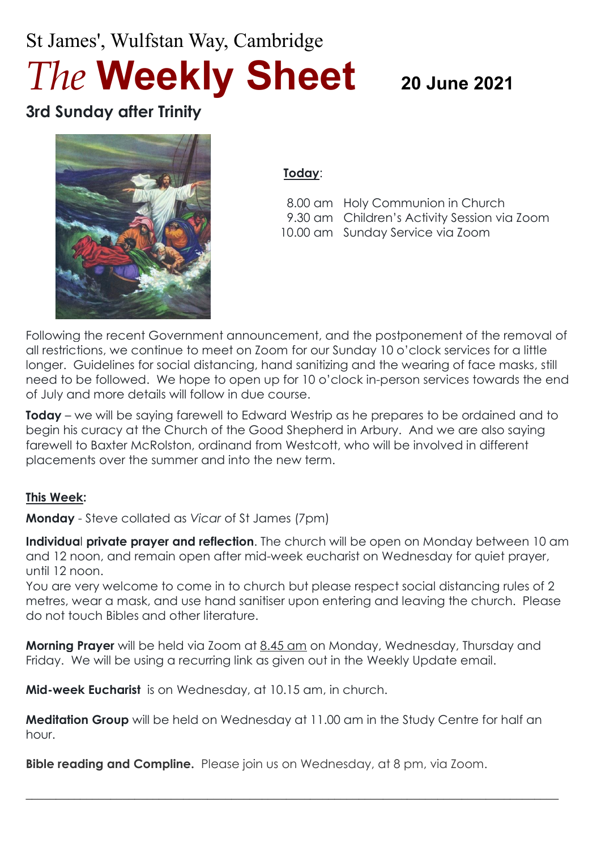# St James', Wulfstan Way, Cambridge *The* **Weekly Sheet <sup>20</sup> June <sup>2021</sup>**

# **3rd Sunday after Trinity**



#### **Today**:

 8.00 am Holy Communion in Church 9.30 am Children's Activity Session via Zoom 10.00 am Sunday Service via Zoom

Following the recent Government announcement, and the postponement of the removal of all restrictions, we continue to meet on Zoom for our Sunday 10 o'clock services for a little longer. Guidelines for social distancing, hand sanitizing and the wearing of face masks, still need to be followed. We hope to open up for 10 o'clock in-person services towards the end of July and more details will follow in due course.

**Today** – we will be saying farewell to Edward Westrip as he prepares to be ordained and to begin his curacy at the Church of the Good Shepherd in Arbury. And we are also saying farewell to Baxter McRolston, ordinand from Westcott, who will be involved in different placements over the summer and into the new term.

#### **This Week:**

**Monday** - Steve collated as *Vicar* of St James (7pm)

**Individua**l **private prayer and reflection**. The church will be open on Monday between 10 am and 12 noon, and remain open after mid-week eucharist on Wednesday for quiet prayer, until 12 noon.

You are very welcome to come in to church but please respect social distancing rules of 2 metres, wear a mask, and use hand sanitiser upon entering and leaving the church. Please do not touch Bibles and other literature.

**Morning Prayer** will be held via Zoom at 8.45 am on Monday, Wednesday, Thursday and Friday. We will be using a recurring link as given out in the Weekly Update email.

**Mid-week Eucharist** is on Wednesday, at 10.15 am, in church.

**Meditation Group** will be held on Wednesday at 11.00 am in the Study Centre for half an hour.

 $\_$  , and the set of the set of the set of the set of the set of the set of the set of the set of the set of the set of the set of the set of the set of the set of the set of the set of the set of the set of the set of th

**Bible reading and Compline.** Please join us on Wednesday, at 8 pm, via Zoom.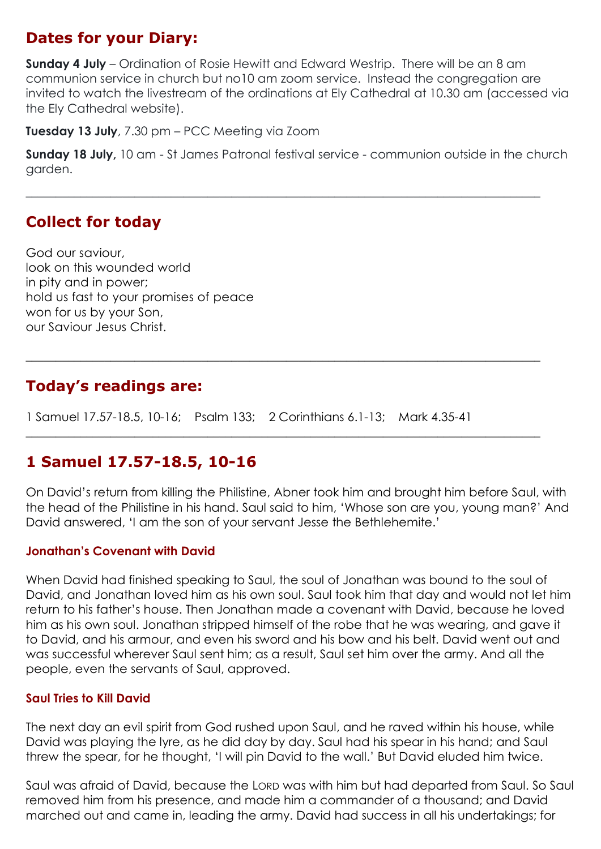# **Dates for your Diary:**

**Sunday 4 July** – Ordination of Rosie Hewitt and Edward Westrip. There will be an 8 am communion service in church but no10 am zoom service. Instead the congregation are invited to watch the livestream of the ordinations at Ely Cathedral at 10.30 am (accessed via the Ely Cathedral website).

**Tuesday 13 July**, 7.30 pm – PCC Meeting via Zoom

**Sunday 18 July,** 10 am - St James Patronal festival service - communion outside in the church garden.

 $\_$  , and the set of the set of the set of the set of the set of the set of the set of the set of the set of the set of the set of the set of the set of the set of the set of the set of the set of the set of the set of th

**\_\_\_\_\_\_\_\_\_\_\_\_\_\_\_\_\_\_\_\_\_\_\_\_\_\_\_\_\_\_\_\_\_\_\_\_\_\_\_\_\_\_\_\_\_\_\_\_\_\_\_\_\_\_\_\_\_\_\_\_\_\_\_\_\_\_\_\_\_\_\_\_\_\_\_\_\_\_\_\_\_\_\_\_\_**

 $\_$  , and the set of the set of the set of the set of the set of the set of the set of the set of the set of the set of the set of the set of the set of the set of the set of the set of the set of the set of the set of th

# **Collect for today**

God our saviour, look on this wounded world in pity and in power; hold us fast to your promises of peace won for us by your Son, our Saviour Jesus Christ.

# **Today's readings are:**

1 Samuel 17.57-18.5, 10-16; Psalm 133; 2 Corinthians 6.1-13; Mark 4.35-41

# **1 Samuel 17.57-18.5, 10-16**

On David's return from killing the Philistine, Abner took him and brought him before Saul, with the head of the Philistine in his hand. Saul said to him, 'Whose son are you, young man?' And David answered, 'I am the son of your servant Jesse the Bethlehemite.'

#### **Jonathan's Covenant with David**

When David had finished speaking to Saul, the soul of Jonathan was bound to the soul of David, and Jonathan loved him as his own soul. Saul took him that day and would not let him return to his father's house. Then Jonathan made a covenant with David, because he loved him as his own soul. Jonathan stripped himself of the robe that he was wearing, and gave it to David, and his armour, and even his sword and his bow and his belt. David went out and was successful wherever Saul sent him; as a result, Saul set him over the army. And all the people, even the servants of Saul, approved.

#### **Saul Tries to Kill David**

The next day an evil spirit from God rushed upon Saul, and he raved within his house, while David was playing the lyre, as he did day by day. Saul had his spear in his hand; and Saul threw the spear, for he thought, 'I will pin David to the wall.' But David eluded him twice.

Saul was afraid of David, because the LORD was with him but had departed from Saul. So Saul removed him from his presence, and made him a commander of a thousand; and David marched out and came in, leading the army. David had success in all his undertakings; for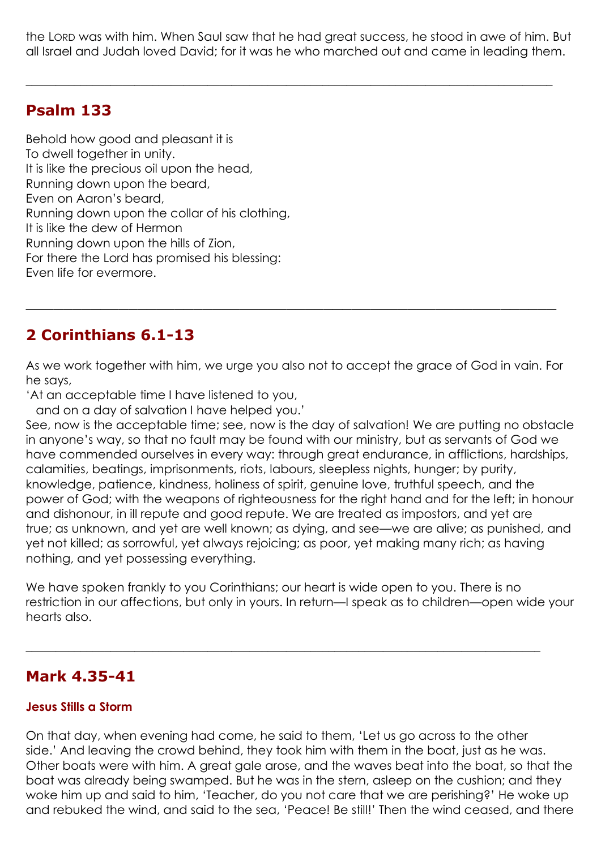the LORD was with him. When Saul saw that he had great success, he stood in awe of him. But all Israel and Judah loved David; for it was he who marched out and came in leading them.

 $\_$  , and the set of the set of the set of the set of the set of the set of the set of the set of the set of the set of the set of the set of the set of the set of the set of the set of the set of the set of the set of th

## **Psalm 133**

Behold how good and pleasant it is To dwell together in unity. It is like the precious oil upon the head, Running down upon the beard, Even on Aaron's beard, Running down upon the collar of his clothing, It is like the dew of Hermon Running down upon the hills of Zion, For there the Lord has promised his blessing: Even life for evermore.

# **2 Corinthians 6.1-13**

As we work together with him, we urge you also not to accept the grace of God in vain. For he says,

\_\_\_\_\_\_\_\_\_\_\_\_\_\_\_\_\_\_\_\_\_\_\_\_\_\_\_\_\_\_\_\_\_\_\_\_\_\_\_\_\_\_\_\_\_\_\_\_\_\_\_\_\_\_\_\_\_

'At an acceptable time I have listened to you,

and on a day of salvation I have helped you.'

See, now is the acceptable time; see, now is the day of salvation! We are putting no obstacle in anyone's way, so that no fault may be found with our ministry, but as servants of God we have commended ourselves in every way: through great endurance, in afflictions, hardships, calamities, beatings, imprisonments, riots, labours, sleepless nights, hunger; by purity, knowledge, patience, kindness, holiness of spirit, genuine love, truthful speech, and the power of God; with the weapons of righteousness for the right hand and for the left; in honour and dishonour, in ill repute and good repute. We are treated as impostors, and yet are true; as unknown, and yet are well known; as dying, and see—we are alive; as punished, and yet not killed; as sorrowful, yet always rejoicing; as poor, yet making many rich; as having nothing, and yet possessing everything.

We have spoken frankly to you Corinthians; our heart is wide open to you. There is no restriction in our affections, but only in yours. In return—I speak as to children—open wide your hearts also.

 $\_$  , and the set of the set of the set of the set of the set of the set of the set of the set of the set of the set of the set of the set of the set of the set of the set of the set of the set of the set of the set of th

### **Mark 4.35-41**

#### **Jesus Stills a Storm**

On that day, when evening had come, he said to them, 'Let us go across to the other side.' And leaving the crowd behind, they took him with them in the boat, just as he was. Other boats were with him. A great gale arose, and the waves beat into the boat, so that the boat was already being swamped. But he was in the stern, asleep on the cushion; and they woke him up and said to him, 'Teacher, do you not care that we are perishing?' He woke up and rebuked the wind, and said to the sea, 'Peace! Be still!' Then the wind ceased, and there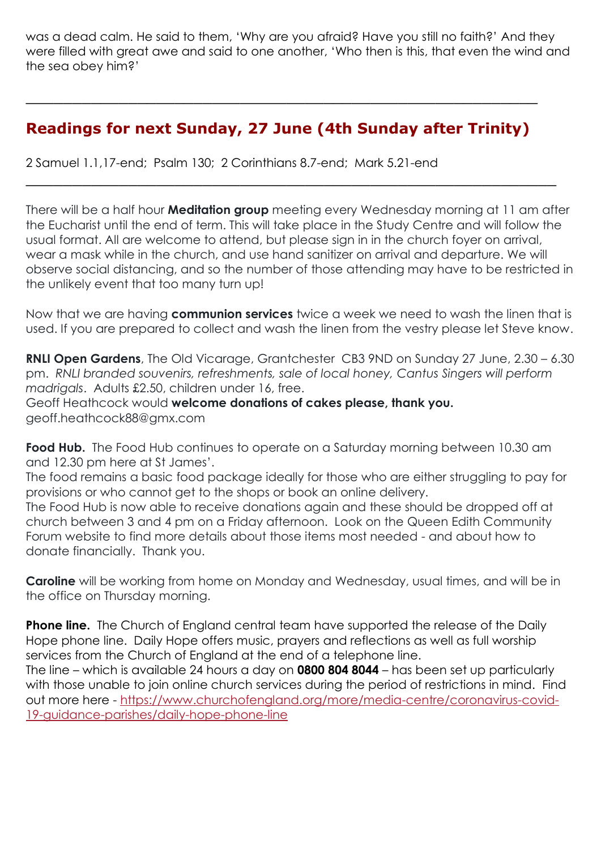was a dead calm. He said to them, 'Why are you afraid? Have you still no faith?' And they were filled with great awe and said to one another, 'Who then is this, that even the wind and the sea obey him?'

# **Readings for next Sunday, 27 June (4th Sunday after Trinity)**

\_\_\_\_\_\_\_\_\_\_\_\_\_\_\_\_\_\_\_\_\_\_\_\_\_\_\_\_\_\_\_\_\_\_\_\_\_\_\_\_\_\_\_\_\_\_\_\_\_\_\_\_\_\_\_\_\_

\_\_\_\_\_\_\_\_\_\_\_\_\_\_\_\_\_\_\_\_\_\_\_\_\_\_\_\_\_\_\_\_\_\_\_\_\_\_\_\_\_\_\_\_\_\_\_\_\_\_\_\_\_\_\_

2 Samuel 1.1,17-end; Psalm 130; 2 Corinthians 8.7-end; Mark 5.21-end

There will be a half hour **Meditation group** meeting every Wednesday morning at 11 am after the Eucharist until the end of term. This will take place in the Study Centre and will follow the usual format. All are welcome to attend, but please sign in in the church foyer on arrival, wear a mask while in the church, and use hand sanitizer on arrival and departure. We will observe social distancing, and so the number of those attending may have to be restricted in the unlikely event that too many turn up!

Now that we are having **communion services** twice a week we need to wash the linen that is used. If you are prepared to collect and wash the linen from the vestry please let Steve know.

**RNLI Open Gardens**, The Old Vicarage, Grantchester CB3 9ND on Sunday 27 June, 2.30 – 6.30 pm. *RNLI branded souvenirs, refreshments, sale of local honey, Cantus Singers will perform madrigals*. Adults £2.50, children under 16, free.

Geoff Heathcock would **welcome donations of cakes please, thank you.** geoff.heathcock88@gmx.com

**Food Hub.** The Food Hub continues to operate on a Saturday morning between 10.30 am and 12.30 pm here at St James'.

The food remains a basic food package ideally for those who are either struggling to pay for provisions or who cannot get to the shops or book an online delivery.

The Food Hub is now able to receive donations again and these should be dropped off at church between 3 and 4 pm on a Friday afternoon. Look on the Queen Edith Community Forum website to find more details about those items most needed - and about how to donate financially. Thank you.

**Caroline** will be working from home on Monday and Wednesday, usual times, and will be in the office on Thursday morning.

**Phone line.** The Church of England central team have supported the release of the Daily Hope phone line. Daily Hope offers music, prayers and reflections as well as full worship services from the Church of England at the end of a telephone line.

The line – which is available 24 hours a day on **0800 804 8044** – has been set up particularly with those unable to join online church services during the period of restrictions in mind. Find out more here - [https://www.churchofengland.org/more/media-centre/coronavirus-covid-](https://www.churchofengland.org/more/media-centre/coronavirus-covid-19-guidance-parishes/daily-hope-phone-line)[19-guidance-parishes/daily-hope-phone-line](https://www.churchofengland.org/more/media-centre/coronavirus-covid-19-guidance-parishes/daily-hope-phone-line)